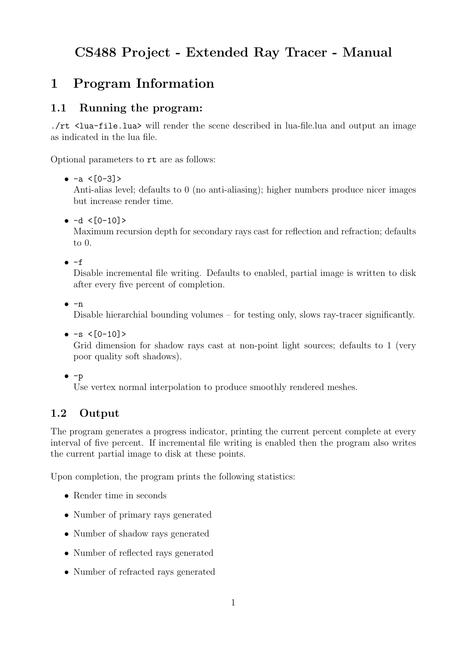# CS488 Project - Extended Ray Tracer - Manual

# 1 Program Information

## 1.1 Running the program:

./rt <lua-file.lua> will render the scene described in lua-file.lua and output an image as indicated in the lua file.

Optional parameters to rt are as follows:

•  $-a < [0-3] >$ 

Anti-alias level; defaults to 0 (no anti-aliasing); higher numbers produce nicer images but increase render time.

 $\bullet$  -d <[0-10]>

Maximum recursion depth for secondary rays cast for reflection and refraction; defaults to 0.

 $e - f$ 

Disable incremental file writing. Defaults to enabled, partial image is written to disk after every five percent of completion.

 $e^{-n}$ 

Disable hierarchial bounding volumes – for testing only, slows ray-tracer significantly.

 $\bullet$  -s  $\leq [0-10]$ >

Grid dimension for shadow rays cast at non-point light sources; defaults to 1 (very poor quality soft shadows).

```
\bullet -p
```
Use vertex normal interpolation to produce smoothly rendered meshes.

## 1.2 Output

The program generates a progress indicator, printing the current percent complete at every interval of five percent. If incremental file writing is enabled then the program also writes the current partial image to disk at these points.

Upon completion, the program prints the following statistics:

- Render time in seconds
- Number of primary rays generated
- Number of shadow rays generated
- Number of reflected rays generated
- Number of refracted rays generated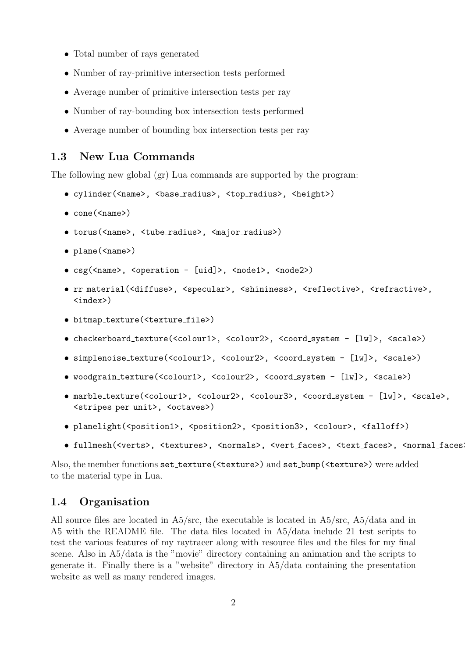- Total number of rays generated
- Number of ray-primitive intersection tests performed
- Average number of primitive intersection tests per ray
- Number of ray-bounding box intersection tests performed
- Average number of bounding box intersection tests per ray

## 1.3 New Lua Commands

The following new global (gr) Lua commands are supported by the program:

- cylinder(<name>, <br/> <br/>base\_radius>, <top\_radius>, <height>)
- cone(<name>)
- torus(<name>, <tube radius>, <major radius>)
- plane(<name>)
- csg(<name>, <operation [uid]>, <node1>, <node2>)
- rr\_material(<diffuse>, <specular>, <shininess>, <reflective>, <refractive>, <index>)
- bitmap\_texture(<texture\_file>)
- checkerboard texture(<colour1>, <colour2>, <coord system [lw]>, <scale>)
- simplenoise texture(<colour1>, <colour2>, <coord system [lw]>, <scale>)
- woodgrain texture(<colour1>, <colour2>, <coord system [lw]>, <scale>)
- marble\_texture(<colour1>, <colour2>, <colour3>, <coord\_system [lw]>, <scale>, <stripes per unit>, <octaves>)
- planelight(<position1>, <position2>, <position3>, <colour>, <falloff>)
- fullmesh(<verts>, <textures>, <normals>, <vert faces>, <text faces>, <normal faces>)

Also, the member functions set\_texture(<texture>) and set\_bump(<texture>) were added to the material type in Lua.

## 1.4 Organisation

All source files are located in A5/src, the executable is located in A5/src, A5/data and in A5 with the README file. The data files located in A5/data include 21 test scripts to test the various features of my raytracer along with resource files and the files for my final scene. Also in A5/data is the "movie" directory containing an animation and the scripts to generate it. Finally there is a "website" directory in A5/data containing the presentation website as well as many rendered images.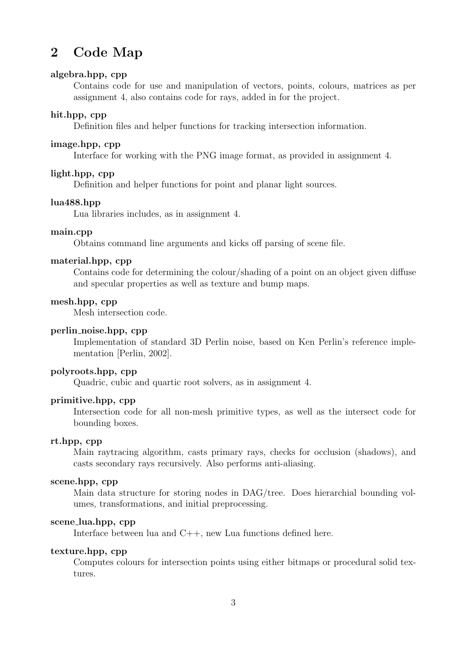# 2 Code Map

## algebra.hpp, cpp

Contains code for use and manipulation of vectors, points, colours, matrices as per assignment 4, also contains code for rays, added in for the project.

#### hit.hpp, cpp

Definition files and helper functions for tracking intersection information.

#### image.hpp, cpp

Interface for working with the PNG image format, as provided in assignment 4.

#### light.hpp, cpp

Definition and helper functions for point and planar light sources.

#### lua488.hpp

Lua libraries includes, as in assignment 4.

#### main.cpp

Obtains command line arguments and kicks off parsing of scene file.

#### material.hpp, cpp

Contains code for determining the colour/shading of a point on an object given diffuse and specular properties as well as texture and bump maps.

#### mesh.hpp, cpp

Mesh intersection code.

### perlin noise.hpp, cpp

Implementation of standard 3D Perlin noise, based on Ken Perlin's reference implementation [Perlin, 2002].

### polyroots.hpp, cpp

Quadric, cubic and quartic root solvers, as in assignment 4.

#### primitive.hpp, cpp

Intersection code for all non-mesh primitive types, as well as the intersect code for bounding boxes.

### rt.hpp, cpp

Main raytracing algorithm, casts primary rays, checks for occlusion (shadows), and casts secondary rays recursively. Also performs anti-aliasing.

### scene.hpp, cpp

Main data structure for storing nodes in DAG/tree. Does hierarchial bounding volumes, transformations, and initial preprocessing.

#### scene lua.hpp, cpp

Interface between lua and C++, new Lua functions defined here.

### texture.hpp, cpp

Computes colours for intersection points using either bitmaps or procedural solid textures.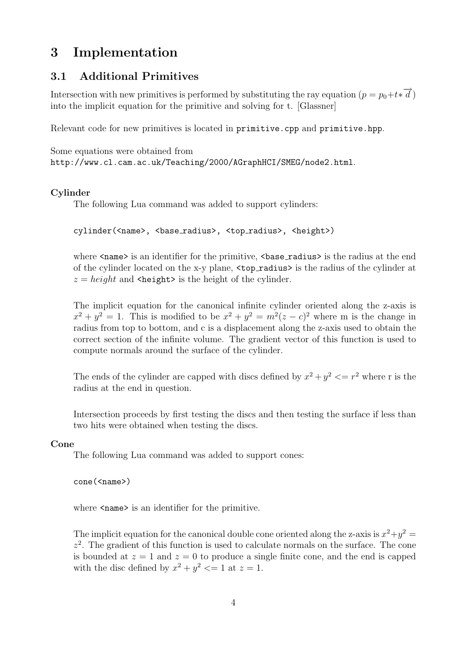# 3 Implementation

## 3.1 Additional Primitives

Intersection with new primitives is performed by substituting the ray equation  $(p = p_0 + t \ast \overrightarrow{d})$ into the implicit equation for the primitive and solving for t. [Glassner]

Relevant code for new primitives is located in primitive.cpp and primitive.hpp.

Some equations were obtained from http://www.cl.cam.ac.uk/Teaching/2000/AGraphHCI/SMEG/node2.html.

### Cylinder

The following Lua command was added to support cylinders:

cylinder(<name>, <br/> <br/> <br/> <br/> <br/>top\_radius>, <height>)

where  $\langle$  name> is an identifier for the primitive,  $\langle$ base\_radius> is the radius at the end of the cylinder located on the x-y plane, <top radius> is the radius of the cylinder at  $z = height$  and  $\langle height \rangle$  is the height of the cylinder.

The implicit equation for the canonical infinite cylinder oriented along the z-axis is  $x^2 + y^2 = 1$ . This is modified to be  $x^2 + y^2 = m^2(z - c)^2$  where m is the change in radius from top to bottom, and c is a displacement along the z-axis used to obtain the correct section of the infinite volume. The gradient vector of this function is used to compute normals around the surface of the cylinder.

The ends of the cylinder are capped with discs defined by  $x^2 + y^2 \leq r^2$  where r is the radius at the end in question.

Intersection proceeds by first testing the discs and then testing the surface if less than two hits were obtained when testing the discs.

### Cone

The following Lua command was added to support cones:

cone(<name>)

where  $\langle$  name  $\rangle$  is an identifier for the primitive.

The implicit equation for the canonical double cone oriented along the z-axis is  $x^2+y^2=$  $z<sup>2</sup>$ . The gradient of this function is used to calculate normals on the surface. The cone is bounded at  $z = 1$  and  $z = 0$  to produce a single finite cone, and the end is capped with the disc defined by  $x^2 + y^2 \leq 1$  at  $z = 1$ .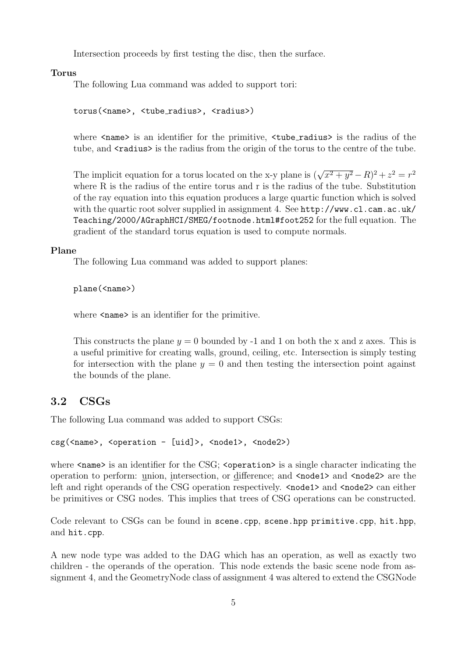Intersection proceeds by first testing the disc, then the surface.

Torus

The following Lua command was added to support tori:

torus(<name>, <tube radius>, <radius>)

where  $\langle$ name is an identifier for the primitive,  $\langle$ tube\_radius is the radius of the tube, and  $\langle$ radius> is the radius from the origin of the torus to the centre of the tube.

The implicit equation for a torus located on the x-y plane is  $(\sqrt{x^2 + y^2} - R)^2 + z^2 = r^2$ where R is the radius of the entire torus and r is the radius of the tube. Substitution of the ray equation into this equation produces a large quartic function which is solved with the quartic root solver supplied in assignment 4. See http://www.cl.cam.ac.uk/ Teaching/2000/AGraphHCI/SMEG/footnode.html#foot252 for the full equation. The gradient of the standard torus equation is used to compute normals.

#### Plane

The following Lua command was added to support planes:

plane(<name>)

where  $\langle$  name  $\rangle$  is an identifier for the primitive.

This constructs the plane  $y = 0$  bounded by -1 and 1 on both the x and z axes. This is a useful primitive for creating walls, ground, ceiling, etc. Intersection is simply testing for intersection with the plane  $y = 0$  and then testing the intersection point against the bounds of the plane.

## 3.2 CSGs

The following Lua command was added to support CSGs:

```
csg(<name>, <operation - [uid]>, <node1>, <node2>)
```
where  $\langle$ name> is an identifier for the CSG;  $\langle$ operation> is a single character indicating the operation to perform: union, intersection, or difference; and <node1> and <node2> are the left and right operands of the CSG operation respectively.  $\langle \text{node1} \rangle$  and  $\langle \text{node2} \rangle$  can either be primitives or CSG nodes. This implies that trees of CSG operations can be constructed.

Code relevant to CSGs can be found in scene.cpp, scene.hpp primitive.cpp, hit.hpp, and hit.cpp.

A new node type was added to the DAG which has an operation, as well as exactly two children - the operands of the operation. This node extends the basic scene node from assignment 4, and the GeometryNode class of assignment 4 was altered to extend the CSGNode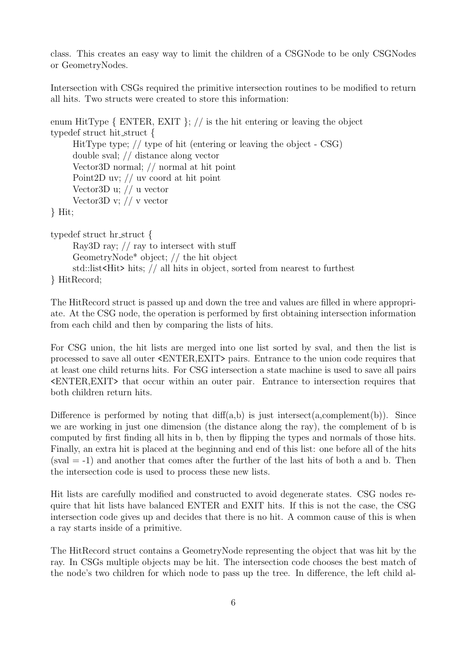class. This creates an easy way to limit the children of a CSGNode to be only CSGNodes or GeometryNodes.

Intersection with CSGs required the primitive intersection routines to be modified to return all hits. Two structs were created to store this information:

```
enum HitType \{ ENTER, EXIT \}; // is the hit entering or leaving the object
typedef struct hit struct {
     HitType type; // type of hit (entering or leaving the object - CSG)
     double sval; // distance along vector
     Vector3D normal; // normal at hit point
     Point2D uv; // uv coord at hit point
     Vector3D u; // u vector
     Vector3D v; // v vector
} Hit;
typedef struct hr struct {
     Ray3D ray; // ray to intersect with stuff
     GeometryNode* object; // the hit object
     std::list<Hit> hits; // all hits in object, sorted from nearest to furthest
} HitRecord;
```
The HitRecord struct is passed up and down the tree and values are filled in where appropriate. At the CSG node, the operation is performed by first obtaining intersection information from each child and then by comparing the lists of hits.

For CSG union, the hit lists are merged into one list sorted by sval, and then the list is processed to save all outer <ENTER,EXIT> pairs. Entrance to the union code requires that at least one child returns hits. For CSG intersection a state machine is used to save all pairs <ENTER,EXIT> that occur within an outer pair. Entrance to intersection requires that both children return hits.

Difference is performed by noting that  $diff(a,b)$  is just intersect(a,complement(b)). Since we are working in just one dimension (the distance along the ray), the complement of b is computed by first finding all hits in b, then by flipping the types and normals of those hits. Finally, an extra hit is placed at the beginning and end of this list: one before all of the hits  $(sval = -1)$  and another that comes after the further of the last hits of both a and b. Then the intersection code is used to process these new lists.

Hit lists are carefully modified and constructed to avoid degenerate states. CSG nodes require that hit lists have balanced ENTER and EXIT hits. If this is not the case, the CSG intersection code gives up and decides that there is no hit. A common cause of this is when a ray starts inside of a primitive.

The HitRecord struct contains a GeometryNode representing the object that was hit by the ray. In CSGs multiple objects may be hit. The intersection code chooses the best match of the node's two children for which node to pass up the tree. In difference, the left child al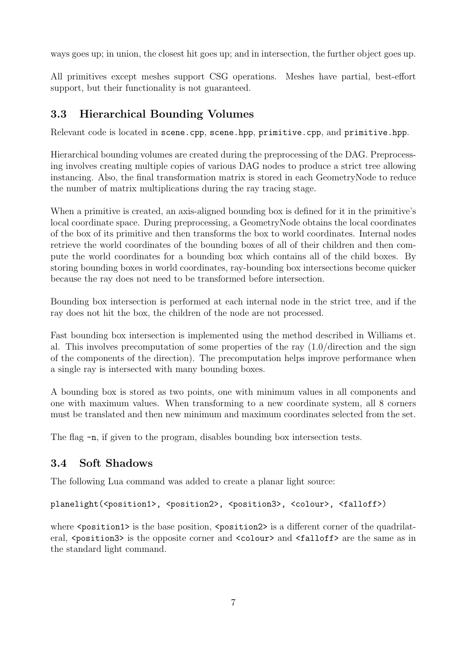ways goes up; in union, the closest hit goes up; and in intersection, the further object goes up.

All primitives except meshes support CSG operations. Meshes have partial, best-effort support, but their functionality is not guaranteed.

## 3.3 Hierarchical Bounding Volumes

Relevant code is located in scene.cpp, scene.hpp, primitive.cpp, and primitive.hpp.

Hierarchical bounding volumes are created during the preprocessing of the DAG. Preprocessing involves creating multiple copies of various DAG nodes to produce a strict tree allowing instancing. Also, the final transformation matrix is stored in each GeometryNode to reduce the number of matrix multiplications during the ray tracing stage.

When a primitive is created, an axis-aligned bounding box is defined for it in the primitive's local coordinate space. During preprocessing, a GeometryNode obtains the local coordinates of the box of its primitive and then transforms the box to world coordinates. Internal nodes retrieve the world coordinates of the bounding boxes of all of their children and then compute the world coordinates for a bounding box which contains all of the child boxes. By storing bounding boxes in world coordinates, ray-bounding box intersections become quicker because the ray does not need to be transformed before intersection.

Bounding box intersection is performed at each internal node in the strict tree, and if the ray does not hit the box, the children of the node are not processed.

Fast bounding box intersection is implemented using the method described in Williams et. al. This involves precomputation of some properties of the ray  $(1.0/d)$ irection and the sign of the components of the direction). The precomputation helps improve performance when a single ray is intersected with many bounding boxes.

A bounding box is stored as two points, one with minimum values in all components and one with maximum values. When transforming to a new coordinate system, all 8 corners must be translated and then new minimum and maximum coordinates selected from the set.

The flag -n, if given to the program, disables bounding box intersection tests.

## 3.4 Soft Shadows

The following Lua command was added to create a planar light source:

```
planelight(<position1>, <position2>, <position3>, <colour>, <falloff>)
```
where  $\epsilon$  position1> is the base position,  $\epsilon$  position2> is a different corner of the quadrilateral,  $\epsilon$  position3> is the opposite corner and  $\epsilon$ colour> and  $\epsilon$ falloff> are the same as in the standard light command.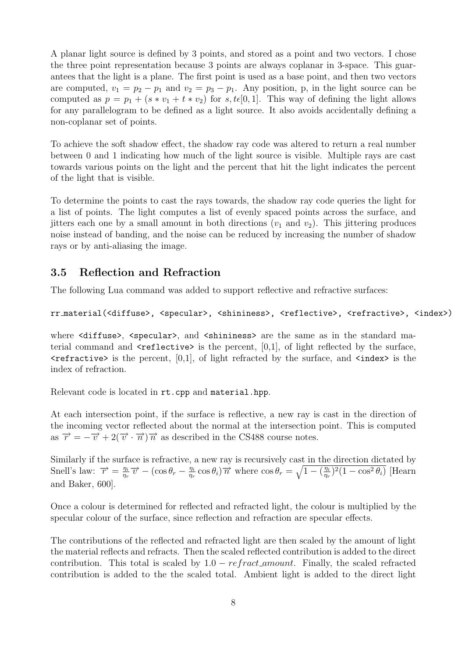A planar light source is defined by 3 points, and stored as a point and two vectors. I chose the three point representation because 3 points are always coplanar in 3-space. This guarantees that the light is a plane. The first point is used as a base point, and then two vectors are computed,  $v_1 = p_2 - p_1$  and  $v_2 = p_3 - p_1$ . Any position, p, in the light source can be computed as  $p = p_1 + (s * v_1 + t * v_2)$  for s,  $t \in [0, 1]$ . This way of defining the light allows for any parallelogram to be defined as a light source. It also avoids accidentally defining a non-coplanar set of points.

To achieve the soft shadow effect, the shadow ray code was altered to return a real number between 0 and 1 indicating how much of the light source is visible. Multiple rays are cast towards various points on the light and the percent that hit the light indicates the percent of the light that is visible.

To determine the points to cast the rays towards, the shadow ray code queries the light for a list of points. The light computes a list of evenly spaced points across the surface, and jitters each one by a small amount in both directions  $(v_1$  and  $v_2)$ . This jittering produces noise instead of banding, and the noise can be reduced by increasing the number of shadow rays or by anti-aliasing the image.

## 3.5 Reflection and Refraction

The following Lua command was added to support reflective and refractive surfaces:

```
rr_material(<diffuse>, <specular>, <shininess>, <reflective>, <refractive>, <index>)
```
where <diffuse>, <specular>, and <shininess> are the same as in the standard material command and  $\leq$ **reflective**> is the percent, [0,1], of light reflected by the surface,  $\epsilon$  refractive> is the percent, [0,1], of light refracted by the surface, and  $\epsilon$  index> is the index of refraction.

Relevant code is located in rt.cpp and material.hpp.

At each intersection point, if the surface is reflective, a new ray is cast in the direction of the incoming vector reflected about the normal at the intersection point. This is computed as  $\vec{r} = -\vec{v} + 2(\vec{v} \cdot \vec{n})\vec{n}$  as described in the CS488 course notes.

Similarly if the surface is refractive, a new ray is recursively cast in the direction dictated by Snell's law:  $\overrightarrow{r} = \frac{\eta_i}{n}$  $\frac{\eta_i}{\eta_r}\overrightarrow{v} - (\cos\theta_r - \frac{\eta_i}{\eta_r})$  $\frac{\eta_i}{\eta_r} \cos \theta_i$ ) $\overrightarrow{n}$  where  $\cos \theta_r = \sqrt{1 - (\frac{\eta_i}{\eta_r})^2}$  $\frac{\eta_i}{\eta_r}$ <sup>2</sup>(1 – cos<sup>2</sup> $\theta_i$ ) [Hearn and Baker, 600].

Once a colour is determined for reflected and refracted light, the colour is multiplied by the specular colour of the surface, since reflection and refraction are specular effects.

The contributions of the reflected and refracted light are then scaled by the amount of light the material reflects and refracts. Then the scaled reflected contribution is added to the direct contribution. This total is scaled by  $1.0 - refract_{amount}$ . Finally, the scaled refracted contribution is added to the the scaled total. Ambient light is added to the direct light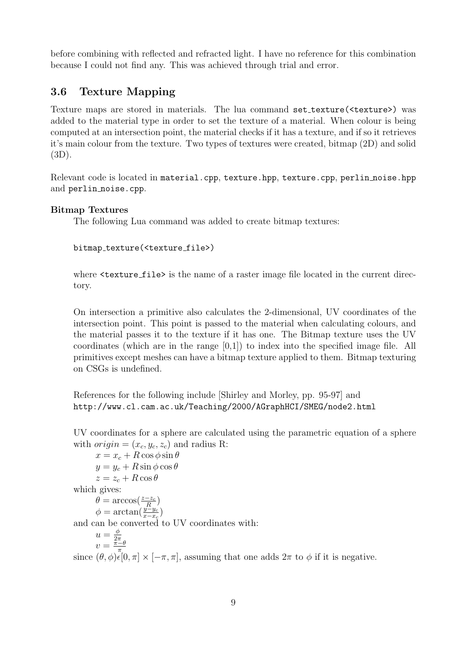before combining with reflected and refracted light. I have no reference for this combination because I could not find any. This was achieved through trial and error.

## 3.6 Texture Mapping

Texture maps are stored in materials. The lua command set\_texture(<texture>) was added to the material type in order to set the texture of a material. When colour is being computed at an intersection point, the material checks if it has a texture, and if so it retrieves it's main colour from the texture. Two types of textures were created, bitmap (2D) and solid (3D).

Relevant code is located in material.cpp, texture.hpp, texture.cpp, perlin noise.hpp and perlin\_noise.cpp.

## Bitmap Textures

The following Lua command was added to create bitmap textures:

bitmap texture(<texture file>)

where  $\text{ }}$  texture file is the name of a raster image file located in the current directory.

On intersection a primitive also calculates the 2-dimensional, UV coordinates of the intersection point. This point is passed to the material when calculating colours, and the material passes it to the texture if it has one. The Bitmap texture uses the UV coordinates (which are in the range [0,1]) to index into the specified image file. All primitives except meshes can have a bitmap texture applied to them. Bitmap texturing on CSGs is undefined.

References for the following include [Shirley and Morley, pp. 95-97] and http://www.cl.cam.ac.uk/Teaching/2000/AGraphHCI/SMEG/node2.html

UV coordinates for a sphere are calculated using the parametric equation of a sphere with  $origin = (x_c, y_c, z_c)$  and radius R:

 $x = x_c + R \cos \phi \sin \theta$  $y = y_c + R \sin \phi \cos \theta$  $z = z_c + R \cos \theta$ which gives:  $\theta = \arccos(\frac{z-z_c}{R})$  $\phi = \arctan(\frac{y-y_c}{x-x_c})$ and can be converted to UV coordinates with:  $u=\frac{\phi}{2\pi}$  $\frac{u}{v} = \frac{2\pi}{\pi - \theta}$ since  $(\theta, \phi) \in (0, \pi] \times [-\pi, \pi]$ , assuming that one adds  $2\pi$  to  $\phi$  if it is negative.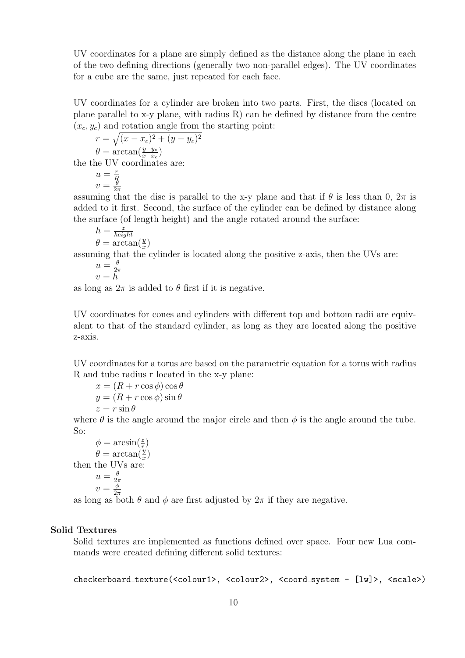UV coordinates for a plane are simply defined as the distance along the plane in each of the two defining directions (generally two non-parallel edges). The UV coordinates for a cube are the same, just repeated for each face.

UV coordinates for a cylinder are broken into two parts. First, the discs (located on plane parallel to x-y plane, with radius R) can be defined by distance from the centre  $(x_c, y_c)$  and rotation angle from the starting point:

$$
r = \sqrt{(x - x_c)^2 + (y - y_c)^2}
$$
  
\n
$$
\theta = \arctan(\frac{y - y_c}{x - x_c})
$$
  
\nthe the UV coordinates are:

)

 $u=\frac{r}{\overline{k}}$  $\begin{array}{c} u = \frac{R}{\theta} \\ v = \frac{R}{2\pi} \end{array}$  $2\pi$ 

assuming that the disc is parallel to the x-y plane and that if  $\theta$  is less than 0,  $2\pi$  is added to it first. Second, the surface of the cylinder can be defined by distance along the surface (of length height) and the angle rotated around the surface:

$$
\begin{array}{l} h = \frac{\overset{\text{?}}{z}}{height}\\ \theta = \arctan(\frac{y}{x} \end{array}
$$

 $\sigma = \arctan(\frac{x}{x})$ <br>assuming that the cylinder is located along the positive z-axis, then the UVs are:

$$
u = \frac{\theta}{2\pi}
$$

$$
v = h
$$

as long as  $2\pi$  is added to  $\theta$  first if it is negative.

UV coordinates for cones and cylinders with different top and bottom radii are equivalent to that of the standard cylinder, as long as they are located along the positive z-axis.

UV coordinates for a torus are based on the parametric equation for a torus with radius R and tube radius r located in the x-y plane:

 $x = (R + r \cos \phi) \cos \theta$  $y = (R + r \cos \phi) \sin \theta$  $z = r \sin \theta$ 

where  $\theta$  is the angle around the major circle and then  $\phi$  is the angle around the tube. So:

$$
\phi = \arcsin(\frac{z}{r})
$$
  
\n
$$
\theta = \arctan(\frac{y}{x})
$$
  
\nthen the UVs are:  
\n
$$
u = \frac{\theta}{2\pi}
$$
  
\n
$$
v = \frac{\phi}{2\pi}
$$

 $v = \frac{\phi}{2\pi}$ <br>as long as both  $\theta$  and  $\phi$  are first adjusted by  $2\pi$  if they are negative.

### Solid Textures

Solid textures are implemented as functions defined over space. Four new Lua commands were created defining different solid textures:

checkerboard texture(<colour1>, <colour2>, <coord system - [lw]>, <scale>)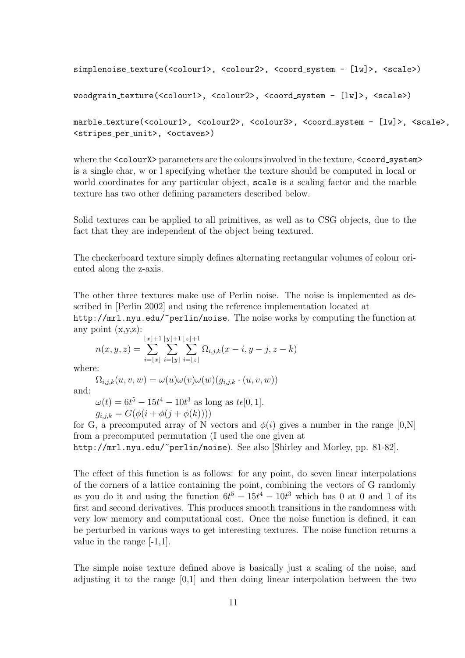```
simplenoise_texture(<colour1>, <colour2>, <coord_system - [lw]>, <scale>)
```

```
woodgrain texture(<colour1>, <colour2>, <coord system - [lw]>, <scale>)
```

```
marble_texture(<colour1>, <colour2>, <colour3>, <coord_system - [lw]>, <scale>,
<stripes per unit>, <octaves>)
```
where the  $\leq$ colourX $\geq$  parameters are the colours involved in the texture,  $\leq$ coord\_system $\geq$ is a single char, w or l specifying whether the texture should be computed in local or world coordinates for any particular object, scale is a scaling factor and the marble texture has two other defining parameters described below.

Solid textures can be applied to all primitives, as well as to CSG objects, due to the fact that they are independent of the object being textured.

The checkerboard texture simply defines alternating rectangular volumes of colour oriented along the z-axis.

The other three textures make use of Perlin noise. The noise is implemented as described in [Perlin 2002] and using the reference implementation located at http://mrl.nyu.edu/~perlin/noise. The noise works by computing the function at any point  $(x,y,z)$ :

$$
n(x, y, z) = \sum_{i=\lfloor x \rfloor}^{\lfloor x \rfloor + 1} \sum_{i=\lfloor y \rfloor}^{\lfloor y \rfloor + 1} \sum_{i=\lfloor z \rfloor}^{\lfloor z \rfloor + 1} \Omega_{i,j,k}(x - i, y - j, z - k)
$$

where:

$$
\Omega_{i,j,k}(u,v,w) = \omega(u)\omega(v)\omega(w)(g_{i,j,k} \cdot (u,v,w))
$$

and:

 $\omega(t) = 6t^5 - 15t^4 - 10t^3$  as long as  $t\epsilon[0, 1].$ 

 $g_{i,j,k} = G(\phi(i + \phi(j + \phi(k))))$ 

for G, a precomputed array of N vectors and  $\phi(i)$  gives a number in the range [0,N] from a precomputed permutation (I used the one given at

http://mrl.nyu.edu/~perlin/noise). See also [Shirley and Morley, pp. 81-82].

The effect of this function is as follows: for any point, do seven linear interpolations of the corners of a lattice containing the point, combining the vectors of G randomly as you do it and using the function  $6t^5 - 15t^4 - 10t^3$  which has 0 at 0 and 1 of its first and second derivatives. This produces smooth transitions in the randomness with very low memory and computational cost. Once the noise function is defined, it can be perturbed in various ways to get interesting textures. The noise function returns a value in the range [-1,1].

The simple noise texture defined above is basically just a scaling of the noise, and adjusting it to the range [0,1] and then doing linear interpolation between the two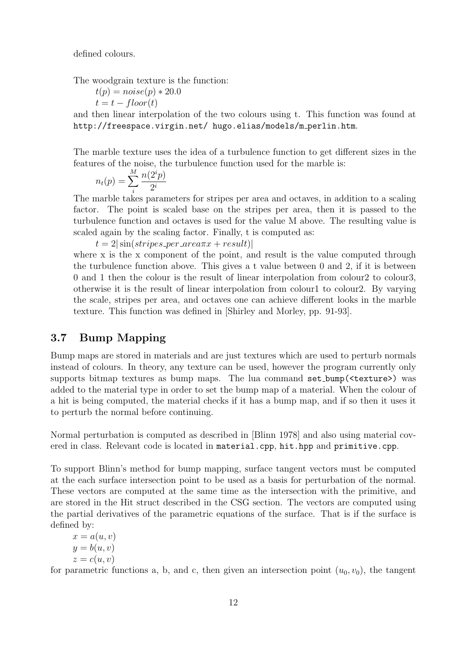defined colours.

The woodgrain texture is the function:

$$
t(p) = noise(p) * 20.0
$$
  

$$
t = t - floor(t)
$$

and then linear interpolation of the two colours using t. This function was found at http://freespace.virgin.net/ hugo.elias/models/m perlin.htm.

The marble texture uses the idea of a turbulence function to get different sizes in the features of the noise, the turbulence function used for the marble is:

$$
n_t(p) = \sum_{i}^{M} \frac{n(2^i p)}{2^i}
$$

The marble takes parameters for stripes per area and octaves, in addition to a scaling factor. The point is scaled base on the stripes per area, then it is passed to the turbulence function and octaves is used for the value M above. The resulting value is scaled again by the scaling factor. Finally, t is computed as:

 $t = 2|\sin(stripes\_per\_area\pi x + result)|$ 

where x is the x component of the point, and result is the value computed through the turbulence function above. This gives a t value between 0 and 2, if it is between 0 and 1 then the colour is the result of linear interpolation from colour2 to colour3, otherwise it is the result of linear interpolation from colour1 to colour2. By varying the scale, stripes per area, and octaves one can achieve different looks in the marble texture. This function was defined in [Shirley and Morley, pp. 91-93].

## 3.7 Bump Mapping

Bump maps are stored in materials and are just textures which are used to perturb normals instead of colours. In theory, any texture can be used, however the program currently only supports bitmap textures as bump maps. The lua command set bump(<texture>) was added to the material type in order to set the bump map of a material. When the colour of a hit is being computed, the material checks if it has a bump map, and if so then it uses it to perturb the normal before continuing.

Normal perturbation is computed as described in [Blinn 1978] and also using material covered in class. Relevant code is located in material.cpp, hit.hpp and primitive.cpp.

To support Blinn's method for bump mapping, surface tangent vectors must be computed at the each surface intersection point to be used as a basis for perturbation of the normal. These vectors are computed at the same time as the intersection with the primitive, and are stored in the Hit struct described in the CSG section. The vectors are computed using the partial derivatives of the parametric equations of the surface. That is if the surface is defined by:

 $x = a(u, v)$  $y = b(u, v)$  $z = c(u, v)$ 

for parametric functions a, b, and c, then given an intersection point  $(u_0, v_0)$ , the tangent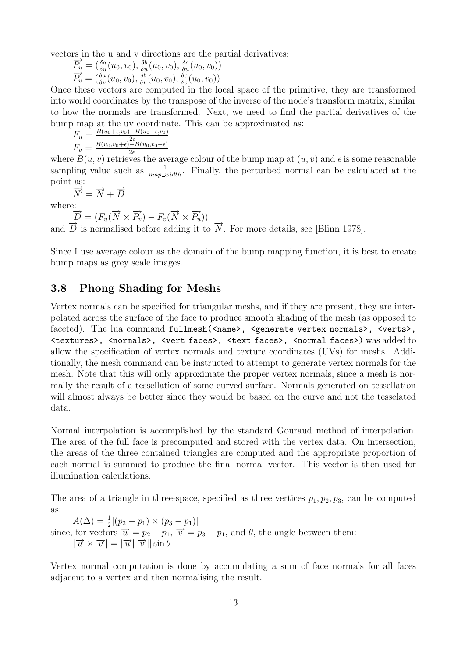vectors in the u and v directions are the partial derivatives:<br>  $\overrightarrow{P_u} = (\frac{\delta a}{\delta u}(u_0, v_0), \frac{\delta b}{\delta u}(u_0, v_0), \frac{\delta c}{\delta u}(u_0, v_0))$ 

$$
\overrightarrow{P_u} = \left(\frac{\delta a}{\delta u}(u_0, v_0), \frac{\delta b}{\delta u}(u_0, v_0), \frac{\delta c}{\delta u}(u_0, v_0)\right)
$$
\n
$$
\overrightarrow{P_v} = \left(\frac{\delta a}{\delta v}(u_0, v_0), \frac{\delta b}{\delta v}(u_0, v_0), \frac{\delta c}{\delta v}(u_0, v_0)\right)
$$

Once these vectors are computed in the local space of the primitive, they are transformed into world coordinates by the transpose of the inverse of the node's transform matrix, similar to how the normals are transformed. Next, we need to find the partial derivatives of the bump map at the uv coordinate. This can be approximated as:

$$
F_u = \frac{B(u_0 + \epsilon, v_0) - B(u_0 - \epsilon, v_0)}{2\epsilon}
$$
  

$$
F_v = \frac{B(u_0, v_0 + \epsilon) - B(u_0, v_0 - \epsilon)}{2\epsilon}
$$

where  $B(u, v)$  retrieves the average colour of the bump map at  $(u, v)$  and  $\epsilon$  is some reasonable sampling value such as  $\frac{1}{map\_width}$ . Finally, the perturbed normal can be calculated at the point as:<br> $\frac{a}{N'}$ 

$$
\overrightarrow{\overrightarrow{N'}} = \overrightarrow{N} + \overrightarrow{D}
$$

where:

 $\overrightarrow{D} = (F_u(\overrightarrow{N} \times \overrightarrow{P_v}) - F_v(\overrightarrow{N} \times \overrightarrow{P_u}))$ 

and  $\overrightarrow{D}$  is normalised before adding it to  $\overrightarrow{N}$ . For more details, see [Blinn 1978].

Since I use average colour as the domain of the bump mapping function, it is best to create bump maps as grey scale images.

## 3.8 Phong Shading for Meshs

Vertex normals can be specified for triangular meshs, and if they are present, they are interpolated across the surface of the face to produce smooth shading of the mesh (as opposed to faceted). The lua command fullmesh(<name>, <generate\_vertex\_normals>, <verts>, <textures>, <normals>, <vert faces>, <text faces>, <normal faces>) was added to allow the specification of vertex normals and texture coordinates (UVs) for meshs. Additionally, the mesh command can be instructed to attempt to generate vertex normals for the mesh. Note that this will only approximate the proper vertex normals, since a mesh is normally the result of a tessellation of some curved surface. Normals generated on tessellation will almost always be better since they would be based on the curve and not the tesselated data.

Normal interpolation is accomplished by the standard Gouraud method of interpolation. The area of the full face is precomputed and stored with the vertex data. On intersection, the areas of the three contained triangles are computed and the appropriate proportion of each normal is summed to produce the final normal vector. This vector is then used for illumination calculations.

The area of a triangle in three-space, specified as three vertices  $p_1, p_2, p_3$ , can be computed as:

 $A(\Delta) = \frac{1}{2} |(p_2 - p_1) \times (p_3 - p_1)|$ since, for vectors  $\overrightarrow{u} = p_2 - p_1$ ,  $\overrightarrow{v} = p_3 - p_1$ , and  $\theta$ , the angle between them:  $|\vec{u} \times \vec{v}| = |\vec{u}| |\vec{v}| |\sin \theta|$ 

Vertex normal computation is done by accumulating a sum of face normals for all faces adjacent to a vertex and then normalising the result.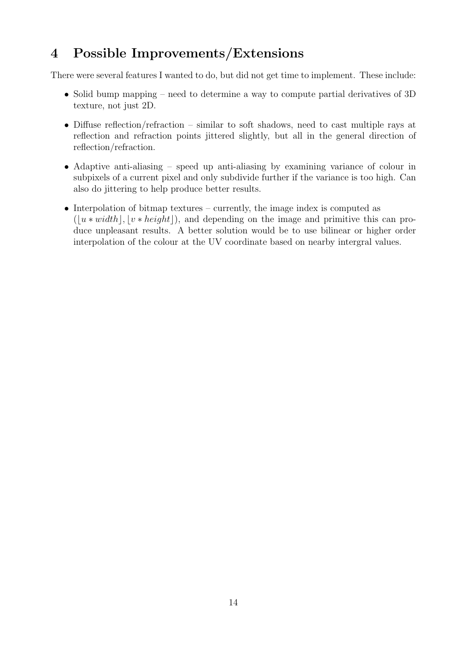# 4 Possible Improvements/Extensions

There were several features I wanted to do, but did not get time to implement. These include:

- Solid bump mapping need to determine a way to compute partial derivatives of 3D texture, not just 2D.
- Diffuse reflection/refraction similar to soft shadows, need to cast multiple rays at reflection and refraction points jittered slightly, but all in the general direction of reflection/refraction.
- Adaptive anti-aliasing speed up anti-aliasing by examining variance of colour in subpixels of a current pixel and only subdivide further if the variance is too high. Can also do jittering to help produce better results.
- Interpolation of bitmap textures currently, the image index is computed as  $(\vert u * width \vert, \vert v * height \vert)$ , and depending on the image and primitive this can produce unpleasant results. A better solution would be to use bilinear or higher order interpolation of the colour at the UV coordinate based on nearby intergral values.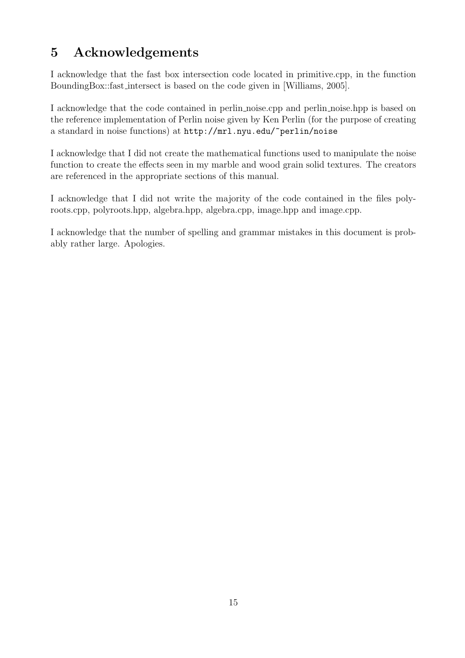# 5 Acknowledgements

I acknowledge that the fast box intersection code located in primitive.cpp, in the function BoundingBox::fast intersect is based on the code given in [Williams, 2005].

I acknowledge that the code contained in perlin noise.cpp and perlin noise.hpp is based on the reference implementation of Perlin noise given by Ken Perlin (for the purpose of creating a standard in noise functions) at http://mrl.nyu.edu/~perlin/noise

I acknowledge that I did not create the mathematical functions used to manipulate the noise function to create the effects seen in my marble and wood grain solid textures. The creators are referenced in the appropriate sections of this manual.

I acknowledge that I did not write the majority of the code contained in the files polyroots.cpp, polyroots.hpp, algebra.hpp, algebra.cpp, image.hpp and image.cpp.

I acknowledge that the number of spelling and grammar mistakes in this document is probably rather large. Apologies.